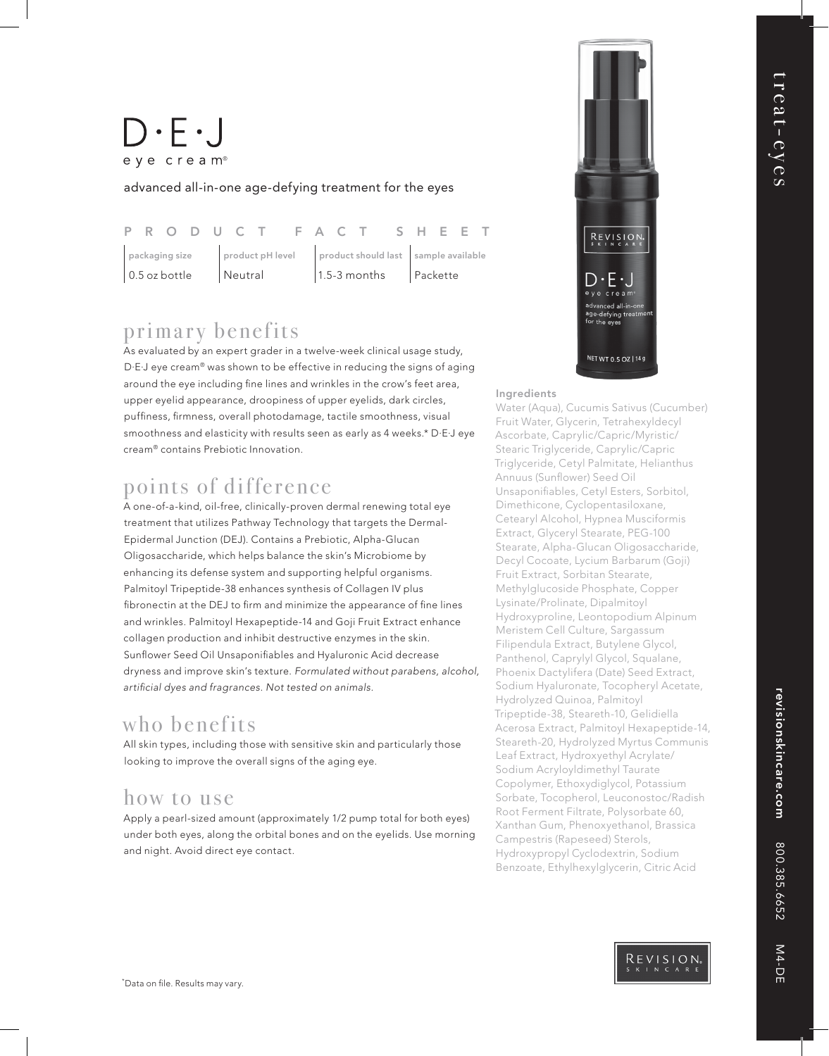# $\bigcup \cdot \bigin \cdot$ eye cream<sup>®</sup>

advanced all-in-one age-defying treatment for the eyes

|                 |  |  |  |  |                                                       |  | P R O D U C T F A C T S H E E T |  |                                       |  |  |  |  |  |  |  |
|-----------------|--|--|--|--|-------------------------------------------------------|--|---------------------------------|--|---------------------------------------|--|--|--|--|--|--|--|
| packaging size  |  |  |  |  | product pH level product should last sample available |  |                                 |  |                                       |  |  |  |  |  |  |  |
| $0.5$ oz bottle |  |  |  |  | Neutral                                               |  |                                 |  | $\vert$ 1.5-3 months $\vert$ Packette |  |  |  |  |  |  |  |

## primary benefits

As evaluated by an expert grader in a twelve-week clinical usage study, D·E·J eye cream® was shown to be effective in reducing the signs of aging around the eye including fine lines and wrinkles in the crow's feet area, upper eyelid appearance, droopiness of upper eyelids, dark circles, puffiness, firmness, overall photodamage, tactile smoothness, visual smoothness and elasticity with results seen as early as 4 weeks.\* D·E·J eye cream® contains Prebiotic Innovation.

### points of difference

A one-of-a-kind, oil-free, clinically-proven dermal renewing total eye treatment that utilizes Pathway Technology that targets the Dermal-Epidermal Junction (DEJ). Contains a Prebiotic, Alpha-Glucan Oligosaccharide, which helps balance the skin's Microbiome by enhancing its defense system and supporting helpful organisms. Palmitoyl Tripeptide-38 enhances synthesis of Collagen IV plus fibronectin at the DEJ to firm and minimize the appearance of fine lines and wrinkles. Palmitoyl Hexapeptide-14 and Goji Fruit Extract enhance collagen production and inhibit destructive enzymes in the skin. Sunflower Seed Oil Unsaponifiables and Hyaluronic Acid decrease dryness and improve skin's texture. *Formulated without parabens, alcohol,*  artificial dyes and fragrances. Not tested on animals.

### who benefits

All skin types, including those with sensitive skin and particularly those looking to improve the overall signs of the aging eye.

### how to use

Apply a pearl-sized amount (approximately 1/2 pump total for both eyes) under both eyes, along the orbital bones and on the eyelids. Use morning and night. Avoid direct eye contact.



#### Ingredients

Water (Aqua), Cucumis Sativus (Cucumber) Fruit Water, Glycerin, Tetrahexyldecyl Ascorbate, Caprylic/Capric/Myristic/ Stearic Triglyceride, Caprylic/Capric Triglyceride, Cetyl Palmitate, Helianthus Annuus (Sunflower) Seed Oil Unsaponifiables, Cetyl Esters, Sorbitol, Dimethicone, Cyclopentasiloxane, Cetearyl Alcohol, Hypnea Musciformis Extract, Glyceryl Stearate, PEG-100 Stearate, Alpha-Glucan Oligosaccharide, Decyl Cocoate, Lycium Barbarum (Goji) Fruit Extract, Sorbitan Stearate, Methylglucoside Phosphate, Copper Lysinate/Prolinate, Dipalmitoyl Hydroxyproline, Leontopodium Alpinum Meristem Cell Culture, Sargassum Filipendula Extract, Butylene Glycol, Panthenol, Caprylyl Glycol, Squalane, Phoenix Dactylifera (Date) Seed Extract, Sodium Hyaluronate, Tocopheryl Acetate, Hydrolyzed Quinoa, Palmitoyl Tripeptide-38, Steareth-10, Gelidiella Acerosa Extract, Palmitoyl Hexapeptide-14, Steareth-20, Hydrolyzed Myrtus Communis Leaf Extract, Hydroxyethyl Acrylate/ Sodium Acryloyldimethyl Taurate Copolymer, Ethoxydiglycol, Potassium Sorbate, Tocopherol, Leuconostoc/Radish Root Ferment Filtrate, Polysorbate 60, Xanthan Gum, Phenoxyethanol, Brassica Campestris (Rapeseed) Sterols, Hydroxypropyl Cyclodextrin, Sodium Benzoate, Ethylhexylglycerin, Citric Acid